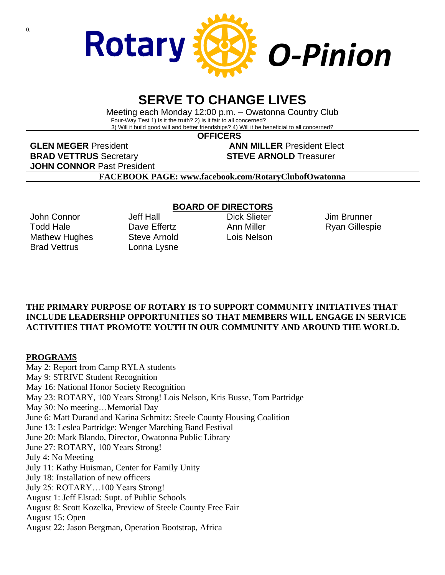

# **SERVE TO CHANGE LIVES**

Meeting each Monday 12:00 p.m. – Owatonna Country Club Four-Way Test 1) Is it the truth? 2) Is it fair to all concerned? 3) Will it build good will and better friendships? 4) Will it be beneficial to all concerned?

 **OFFICERS**

**GLEN MEGER** President **ANN MILLER** President Elect **BRAD VETTRUS** Secretary **STEVE ARNOLD** Treasurer **JOHN CONNOR** Past President

**FACEBOOK PAGE: www.facebook.com/RotaryClubofOwatonna**

John Connor Todd Hale Mathew Hughes Brad Vettrus

Jeff Hall Dave Fffertz Steve Arnold Lonna Lysne

#### **BOARD OF DIRECTORS**

Dick Slieter Ann Miller Lois Nelson

Jim Brunner Ryan Gillespie

### **THE PRIMARY PURPOSE OF ROTARY IS TO SUPPORT COMMUNITY INITIATIVES THAT INCLUDE LEADERSHIP OPPORTUNITIES SO THAT MEMBERS WILL ENGAGE IN SERVICE ACTIVITIES THAT PROMOTE YOUTH IN OUR COMMUNITY AND AROUND THE WORLD.**

#### **PROGRAMS**

May 2: Report from Camp RYLA students May 9: STRIVE Student Recognition May 16: National Honor Society Recognition May 23: ROTARY, 100 Years Strong! Lois Nelson, Kris Busse, Tom Partridge May 30: No meeting…Memorial Day June 6: Matt Durand and Karina Schmitz: Steele County Housing Coalition June 13: Leslea Partridge: Wenger Marching Band Festival June 20: Mark Blando, Director, Owatonna Public Library June 27: ROTARY, 100 Years Strong! July 4: No Meeting July 11: Kathy Huisman, Center for Family Unity July 18: Installation of new officers July 25: ROTARY…100 Years Strong! August 1: Jeff Elstad: Supt. of Public Schools August 8: Scott Kozelka, Preview of Steele County Free Fair August 15: Open August 22: Jason Bergman, Operation Bootstrap, Africa